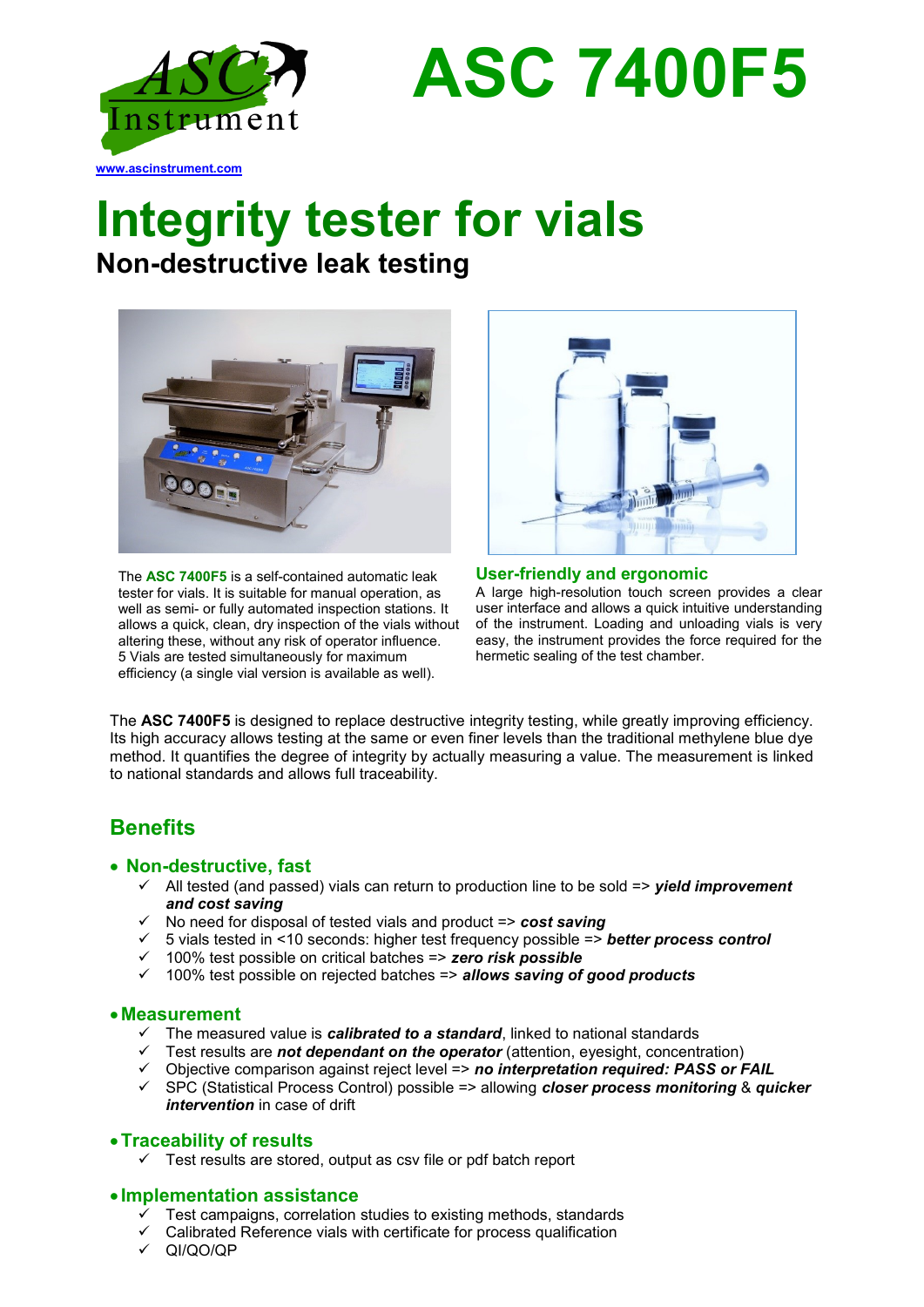

**ASC 7400F5**

# **Integrity tester for vials**

**Non-destructive leak testing**



The **ASC 7400F5** is a self-contained automatic leak tester for vials. It is suitable for manual operation, as well as semi- or fully automated inspection stations. It allows a quick, clean, dry inspection of the vials without altering these, without any risk of operator influence. 5 Vials are tested simultaneously for maximum efficiency (a single vial version is available as well).



**User-friendly and ergonomic** A large high-resolution touch screen provides a clear user interface and allows a quick intuitive understanding of the instrument. Loading and unloading vials is very easy, the instrument provides the force required for the hermetic sealing of the test chamber.

The **ASC 7400F5** is designed to replace destructive integrity testing, while greatly improving efficiency. Its high accuracy allows testing at the same or even finer levels than the traditional methylene blue dye method. It quantifies the degree of integrity by actually measuring a value. The measurement is linked to national standards and allows full traceability.

# **Benefits**

#### • **Non-destructive, fast**

- ✓ All tested (and passed) vials can return to production line to be sold => *yield improvement and cost saving*
- ✓ No need for disposal of tested vials and product => *cost saving*
- ✓ 5 vials tested in <10 seconds: higher test frequency possible => *better process control*
- ✓ 100% test possible on critical batches => *zero risk possible*
- ✓ 100% test possible on rejected batches => *allows saving of good products*

#### •**Measurement**

- ✓ The measured value is *calibrated to a standard*, linked to national standards
- ✓ Test results are *not dependant on the operator* (attention, eyesight, concentration)
- ✓ Objective comparison against reject level => *no interpretation required: PASS or FAIL*
- ✓ SPC (Statistical Process Control) possible => allowing *closer process monitoring* & *quicker intervention* in case of drift

#### •**Traceability of results**

✓ Test results are stored, output as csv file or pdf batch report

#### • **Implementation assistance**

- Test campaigns, correlation studies to existing methods, standards
- Calibrated Reference vials with certificate for process qualification
- ✓ QI/QO/QP